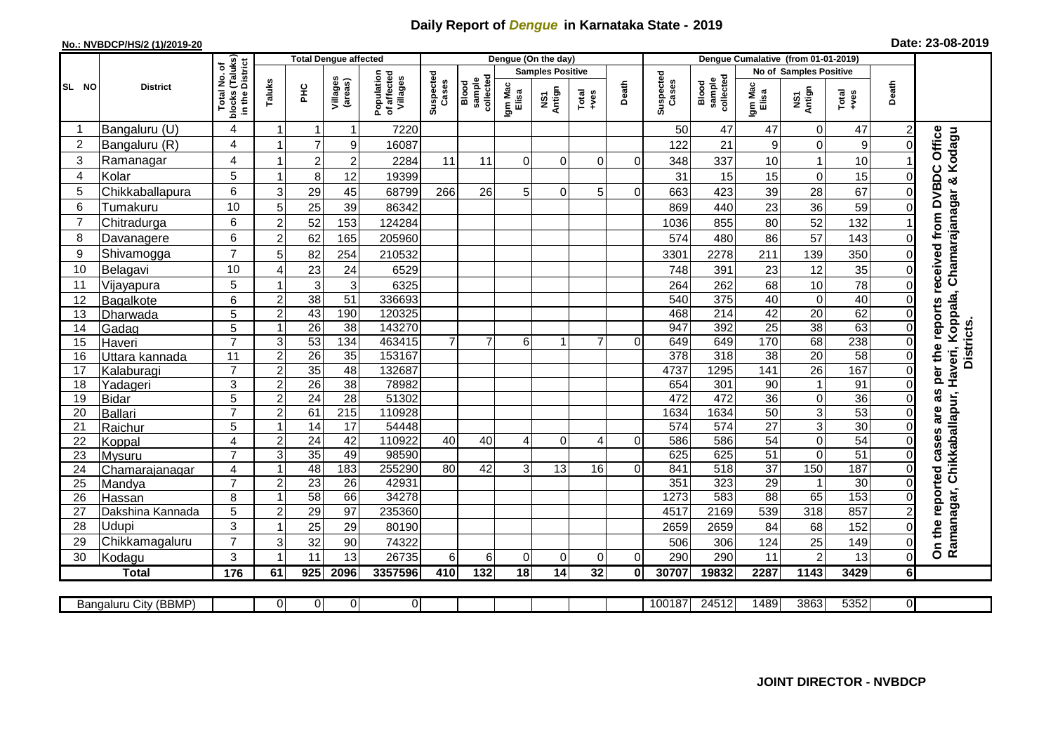## **Daily Report of** *Dengue* **in Karnataka State - 2019**

## **No.: NVBDCP/HS/2 (1)/2019-20**

| Date: 23-08-2019 |  |  |  |  |
|------------------|--|--|--|--|
|------------------|--|--|--|--|

|                |                           |                                  |                             |                 | <b>Total Dengue affected</b> |                                       | Dengue (On the day) |                              |                  |                         |                |                | Dengue Cumalative (from 01-01-2019) |                              |                  |                        |                  |                |                                                                      |
|----------------|---------------------------|----------------------------------|-----------------------------|-----------------|------------------------------|---------------------------------------|---------------------|------------------------------|------------------|-------------------------|----------------|----------------|-------------------------------------|------------------------------|------------------|------------------------|------------------|----------------|----------------------------------------------------------------------|
|                |                           | l No. of<br>(Taluks)<br>District |                             |                 |                              |                                       |                     |                              |                  | <b>Samples Positive</b> |                |                |                                     |                              |                  | No of Samples Positive |                  |                |                                                                      |
| SL NO          | <b>District</b>           | Total<br>blocks<br>in the l      | Taluks                      | ĔБ              | Villages<br>(areas)          | Population<br>of affected<br>Villages | Suspected<br>Cases  | collected<br>sample<br>Blood | Igm Mac<br>Elisa | NS1<br>Antign           | Total<br>+ves  | Death          | Suspected<br>Cases                  | collected<br>sample<br>Blood | Igm Mac<br>Elisa | NS1<br>Antign          | Total<br>+ves    | Death          |                                                                      |
|                | Bangaluru (U)             | 4                                | 1                           | $\mathbf{1}$    | $\mathbf{1}$                 | 7220                                  |                     |                              |                  |                         |                |                | 50                                  | 47                           | 47               | $\mathbf 0$            | 47               | $\overline{2}$ |                                                                      |
| $\overline{c}$ | Bangaluru (R)             | 4                                | 1                           | $\overline{7}$  | 9                            | 16087                                 |                     |                              |                  |                         |                |                | 122                                 | 21                           | 9                | $\mathbf 0$            | $\boldsymbol{9}$ | $\Omega$       | Office<br>Chamarajanagar & Kodagu                                    |
| 3              | Ramanagar                 | 4                                | $\overline{1}$              | $\overline{c}$  | $\overline{c}$               | 2284                                  | 11                  | 11                           | $\Omega$         | $\Omega$                | $\Omega$       | $\Omega$       | 348                                 | 337                          | 10               | $\mathbf{1}$           | 10               |                |                                                                      |
| $\overline{4}$ | Kolar                     | 5                                | 1                           | 8               | 12                           | 19399                                 |                     |                              |                  |                         |                |                | 31                                  | 15                           | 15               | $\mathbf 0$            | 15               | 0              |                                                                      |
| 5              | Chikkaballapura           | 6                                | 3                           | 29              | 45                           | 68799                                 | 266                 | 26                           | 5                | $\Omega$                | 5              | $\Omega$       | 663                                 | 423                          | 39               | 28                     | 67               |                |                                                                      |
| 6              | Tumakuru                  | 10                               | 5                           | 25              | 39                           | 86342                                 |                     |                              |                  |                         |                |                | 869                                 | 440                          | 23               | 36                     | 59               |                |                                                                      |
| 7              | Chitradurga               | 6                                | $\overline{c}$              | 52              | 153                          | 124284                                |                     |                              |                  |                         |                |                | 1036                                | 855                          | 80               | 52                     | 132              |                |                                                                      |
| 8              | Davanagere                | 6                                | $\overline{c}$              | 62              | 165                          | 205960                                |                     |                              |                  |                         |                |                | 574                                 | 480                          | 86               | 57                     | 143              | 0              |                                                                      |
| 9              | Shivamogga                | $\overline{7}$                   | 5                           | 82              | 254                          | 210532                                |                     |                              |                  |                         |                |                | 3301                                | 2278                         | 211              | 139                    | 350              |                | per the reports received from DVBDC                                  |
| 10             | Belagavi                  | 10                               | 4                           | 23              | 24                           | 6529                                  |                     |                              |                  |                         |                |                | 748                                 | 391                          | 23               | 12                     | 35               | 0              |                                                                      |
| 11             | Vijayapura                | 5                                |                             | $\mathbf{3}$    | 3                            | 6325                                  |                     |                              |                  |                         |                |                | 264                                 | 262                          | 68               | 10                     | 78               | 0              |                                                                      |
| 12             | Bagalkote                 | 6                                | $\overline{2}$              | 38              | $\overline{51}$              | 336693                                |                     |                              |                  |                         |                |                | 540                                 | $\overline{375}$             | 40               | $\pmb{0}$              | 40               | $\Omega$       |                                                                      |
| 13             | Dharwada                  | 5                                | $\overline{2}$              | 43              | 190                          | 120325                                |                     |                              |                  |                         |                |                | 468                                 | $\overline{214}$             | 42               | 20                     | 62               | $\Omega$       |                                                                      |
| 14             | Gadag                     | 5                                | $\overline{1}$              | $\overline{26}$ | 38                           | 143270                                |                     |                              |                  |                         |                |                | 947                                 | 392                          | 25               | 38                     | 63               | 0              |                                                                      |
| 15             | Haveri                    | $\overline{7}$                   | 3                           | 53              | 134                          | 463415                                | $\overline{7}$      | $\overline{7}$               | 6                |                         | $\overline{7}$ | $\Omega$       | 649                                 | 649                          | 170              | $\overline{68}$        | 238              | $\Omega$       | <b>Districts</b>                                                     |
| 16             | Uttara kannada            | 11                               | $\overline{2}$              | $\overline{26}$ | 35                           | 153167                                |                     |                              |                  |                         |                |                | 378                                 | 318                          | $\overline{38}$  | 20                     | 58               | $\Omega$       |                                                                      |
| 17             | Kalaburagi                | $\overline{7}$                   | $\overline{c}$              | 35              | 48                           | 132687                                |                     |                              |                  |                         |                |                | 4737                                | 1295                         | 141              | $\overline{26}$        | 167              | 0              |                                                                      |
| 18             | Yadageri                  | 3                                | $\overline{2}$              | 26              | $\overline{38}$              | 78982                                 |                     |                              |                  |                         |                |                | 654                                 | 301                          | 90               | $\mathbf{1}$           | 91               | 0              |                                                                      |
| 19             | <b>Bidar</b>              | 5                                | $\mathbf 2$                 | 24              | 28                           | 51302                                 |                     |                              |                  |                         |                |                | 472                                 | 472                          | 36               | 0                      | $\overline{36}$  | 0              |                                                                      |
| 20             | Ballari                   | $\overline{7}$                   | $\overline{2}$              | 61              | $\overline{215}$             | 110928                                |                     |                              |                  |                         |                |                | 1634                                | 1634                         | 50               | 3                      | 53               | $\Omega$       | are as                                                               |
| 21             | Raichur                   | 5                                | 1                           | $\overline{14}$ | 17                           | 54448                                 |                     |                              |                  |                         |                |                | 574                                 | 574                          | $\overline{27}$  | ω                      | 30               | 0              |                                                                      |
| 22             | Koppal                    | $\overline{4}$                   | $\overline{c}$              | $\overline{24}$ | 42                           | 110922                                | 40                  | 40                           | 4                | $\mathbf 0$             | 4              | 0              | 586                                 | 586                          | 54               | $\overline{0}$         | 54               | $\Omega$       |                                                                      |
| 23             | Mysuru                    | $\overline{7}$                   | 3                           | 35              | 49                           | 98590                                 |                     |                              |                  |                         |                |                | 625                                 | 625                          | 51               | $\mathbf 0$            | 51               | 0              |                                                                      |
| 24             | Chamarajanagar            | 4                                | 1                           | 48              | 183                          | 255290                                | 80                  | 42                           | 3                | 13                      | 16             | $\Omega$       | 841                                 | 518                          | $\overline{37}$  | 150                    | 187              | $\Omega$       |                                                                      |
| 25             | Mandya                    | $\overline{7}$                   | $\mathbf 2$<br>$\mathbf{1}$ | 23              | 26                           | 42931                                 |                     |                              |                  |                         |                |                | 351<br>1273                         | 323<br>583                   | 29               | $\mathbf{1}$           | $30\,$<br>153    | 0              |                                                                      |
| 26<br>27       | Hassan                    | 8<br>5                           | $\mathbf 2$                 | 58<br>29        | 66<br>97                     | 34278<br>235360                       |                     |                              |                  |                         |                |                | 4517                                | 2169                         | 88<br>539        | 65<br>318              | 857              | 0              |                                                                      |
| 28             | Dakshina Kannada<br>Udupi | 3                                | 1                           | 25              | 29                           | 80190                                 |                     |                              |                  |                         |                |                | 2659                                | 2659                         | 84               | 68                     | 152              | 0              |                                                                      |
| 29             | Chikkamagaluru            | $\overline{7}$                   | 3                           | 32              | 90                           | 74322                                 |                     |                              |                  |                         |                |                | 506                                 | 306                          | 124              | 25                     | 149              | 0              | Ramanagar, Chikkaballapur, Haveri, Koppala,<br>On the reported cases |
| 30             | Kodagu                    | 3                                | $\mathbf 1$                 | 11              | 13                           | 26735                                 | 6                   | 6                            | 0                | $\mathbf 0$             | $\mathbf 0$    | $\overline{0}$ | 290                                 | 290                          | 11               | $\overline{c}$         | 13               | 0              |                                                                      |
|                | <b>Total</b>              | 176                              | 61                          | 925             | 2096                         | 3357596                               | 410                 | 132                          | 18               | 14                      | 32             | $\mathbf{0}$   | 30707                               | 19832                        | 2287             | 1143                   | 3429             | 61             |                                                                      |
|                |                           |                                  |                             |                 |                              |                                       |                     |                              |                  |                         |                |                |                                     |                              |                  |                        |                  |                |                                                                      |
|                | Bangaluru City (BBMP)     |                                  | $\overline{0}$              | $\overline{0}$  | 0                            | $\overline{0}$                        |                     |                              |                  |                         |                |                | 100187                              | 24512                        | 1489             | 3863                   | 5352             | 01             |                                                                      |